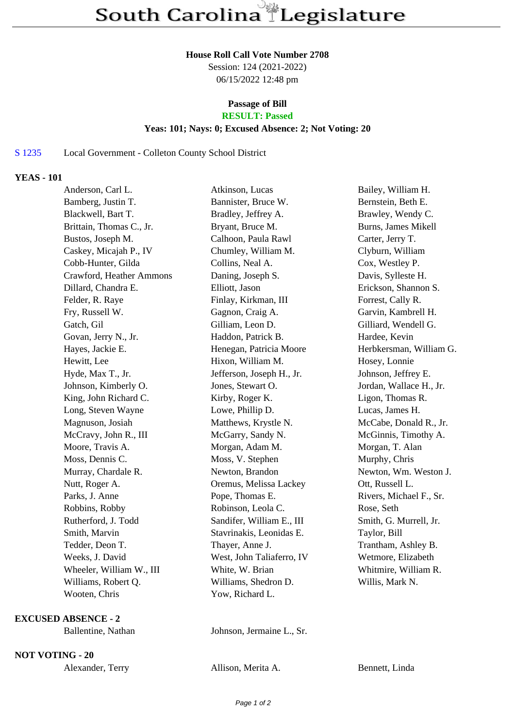#### **House Roll Call Vote Number 2708**

Session: 124 (2021-2022) 06/15/2022 12:48 pm

# **Passage of Bill**

## **RESULT: Passed**

### **Yeas: 101; Nays: 0; Excused Absence: 2; Not Voting: 20**

### S 1235 Local Government - Colleton County School District

### **YEAS - 101**

| Anderson, Carl L.        | Atkinson, Lucas           | Bailey, William H.      |
|--------------------------|---------------------------|-------------------------|
| Bamberg, Justin T.       | Bannister, Bruce W.       | Bernstein, Beth E.      |
| Blackwell, Bart T.       | Bradley, Jeffrey A.       | Brawley, Wendy C.       |
| Brittain, Thomas C., Jr. | Bryant, Bruce M.          | Burns, James Mikell     |
| Bustos, Joseph M.        | Calhoon, Paula Rawl       | Carter, Jerry T.        |
| Caskey, Micajah P., IV   | Chumley, William M.       | Clyburn, William        |
| Cobb-Hunter, Gilda       | Collins, Neal A.          | Cox, Westley P.         |
| Crawford, Heather Ammons | Daning, Joseph S.         | Davis, Sylleste H.      |
| Dillard, Chandra E.      | Elliott, Jason            | Erickson, Shannon S.    |
| Felder, R. Raye          | Finlay, Kirkman, III      | Forrest, Cally R.       |
| Fry, Russell W.          | Gagnon, Craig A.          | Garvin, Kambrell H.     |
| Gatch, Gil               | Gilliam, Leon D.          | Gilliard, Wendell G.    |
| Govan, Jerry N., Jr.     | Haddon, Patrick B.        | Hardee, Kevin           |
| Hayes, Jackie E.         | Henegan, Patricia Moore   | Herbkersman, William G. |
| Hewitt, Lee              | Hixon, William M.         | Hosey, Lonnie           |
| Hyde, Max T., Jr.        | Jefferson, Joseph H., Jr. | Johnson, Jeffrey E.     |
| Johnson, Kimberly O.     | Jones, Stewart O.         | Jordan, Wallace H., Jr. |
| King, John Richard C.    | Kirby, Roger K.           | Ligon, Thomas R.        |
| Long, Steven Wayne       | Lowe, Phillip D.          | Lucas, James H.         |
| Magnuson, Josiah         | Matthews, Krystle N.      | McCabe, Donald R., Jr.  |
| McCravy, John R., III    | McGarry, Sandy N.         | McGinnis, Timothy A.    |
| Moore, Travis A.         | Morgan, Adam M.           | Morgan, T. Alan         |
| Moss, Dennis C.          | Moss, V. Stephen          | Murphy, Chris           |
| Murray, Chardale R.      | Newton, Brandon           | Newton, Wm. Weston J.   |
| Nutt, Roger A.           | Oremus, Melissa Lackey    | Ott, Russell L.         |
| Parks, J. Anne           | Pope, Thomas E.           | Rivers, Michael F., Sr. |
| Robbins, Robby           | Robinson, Leola C.        | Rose, Seth              |
| Rutherford, J. Todd      | Sandifer, William E., III | Smith, G. Murrell, Jr.  |
| Smith, Marvin            | Stavrinakis, Leonidas E.  | Taylor, Bill            |
| Tedder, Deon T.          | Thayer, Anne J.           | Trantham, Ashley B.     |
| Weeks, J. David          | West, John Taliaferro, IV | Wetmore, Elizabeth      |
| Wheeler, William W., III | White, W. Brian           | Whitmire, William R.    |
| Williams, Robert Q.      | Williams, Shedron D.      | Willis, Mark N.         |
| Wooten, Chris            | Yow, Richard L.           |                         |
|                          |                           |                         |

#### **EXCUSED ABSENCE - 2**

Ballentine, Nathan Johnson, Jermaine L., Sr.

**NOT VOTING - 20**

Alexander, Terry Allison, Merita A. Bennett, Linda